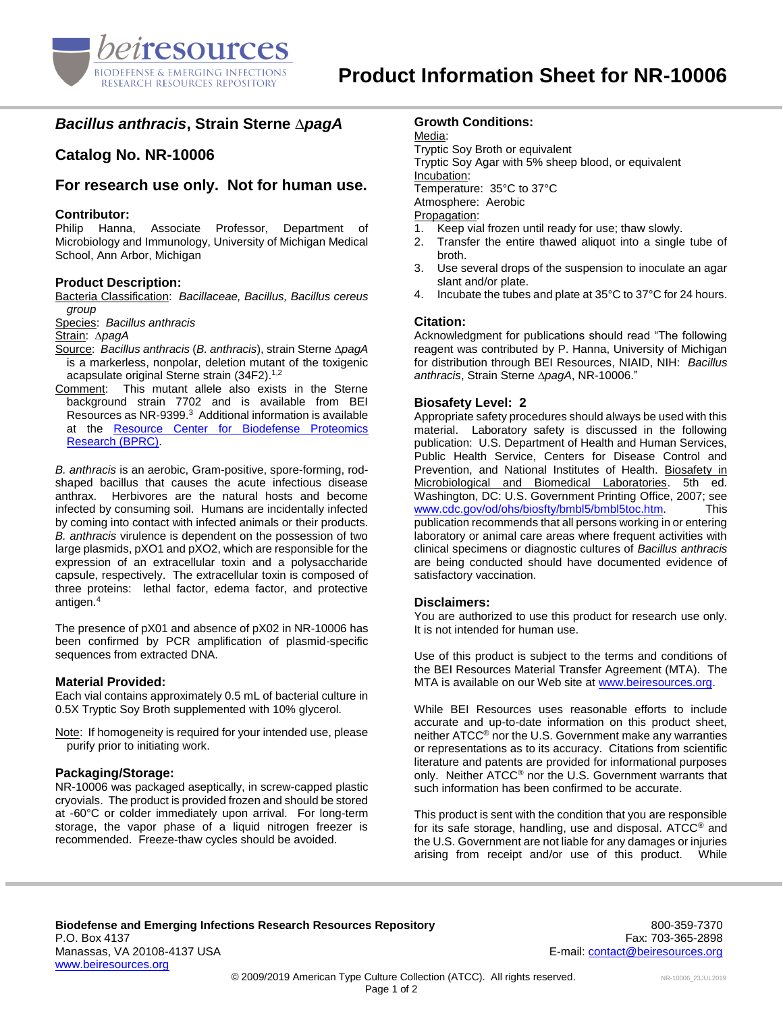

# *Bacillus anthracis***, Strain Sterne ∆***pagA*

**Catalog No. NR-10006**

# **For research use only. Not for human use.**

### **Contributor:**

Philip Hanna, Associate Professor, Department of Microbiology and Immunology, University of Michigan Medical School, Ann Arbor, Michigan

## **Product Description:**

Bacteria Classification: *Bacillaceae, Bacillus, Bacillus cereus group*

Species: *Bacillus anthracis*

Strain: ∆*pagA*

- Source: *Bacillus anthracis* (*B. anthracis*), strain Sterne ∆*pagA* is a markerless, nonpolar, deletion mutant of the toxigenic acapsulate original Sterne strain (34F2). 1,2
- Comment: This mutant allele also exists in the Sterne background strain 7702 and is available from BEI Resources as NR-9399.<sup>3</sup> Additional information is available at the [Resource Center for Biodefense Proteomics](http://pir.georgetown.edu/cgi-bin/textsearch_cat_ra.pl?datatype=bacteria&search=1&field0=ID&query0=NR-10006)  [Research \(BPRC\).](http://pir.georgetown.edu/cgi-bin/textsearch_cat_ra.pl?datatype=bacteria&search=1&field0=ID&query0=NR-10006)

*B. anthracis* is an aerobic, Gram-positive, spore-forming, rodshaped bacillus that causes the acute infectious disease anthrax. Herbivores are the natural hosts and become infected by consuming soil. Humans are incidentally infected by coming into contact with infected animals or their products. *B. anthracis* virulence is dependent on the possession of two large plasmids, pXO1 and pXO2, which are responsible for the expression of an extracellular toxin and a polysaccharide capsule, respectively. The extracellular toxin is composed of three proteins: lethal factor, edema factor, and protective antigen.<sup>4</sup>

The presence of pX01 and absence of pX02 in NR-10006 has been confirmed by PCR amplification of plasmid-specific sequences from extracted DNA.

#### **Material Provided:**

Each vial contains approximately 0.5 mL of bacterial culture in 0.5X Tryptic Soy Broth supplemented with 10% glycerol.

Note: If homogeneity is required for your intended use, please purify prior to initiating work.

### **Packaging/Storage:**

NR-10006 was packaged aseptically, in screw-capped plastic cryovials. The product is provided frozen and should be stored at -60°C or colder immediately upon arrival. For long-term storage, the vapor phase of a liquid nitrogen freezer is recommended. Freeze-thaw cycles should be avoided.

## **Growth Conditions:**

Media: Tryptic Soy Broth or equivalent Tryptic Soy Agar with 5% sheep blood, or equivalent Incubation: Temperature: 35°C to 37°C Atmosphere: Aerobic Propagation:

- 1. Keep vial frozen until ready for use; thaw slowly.
- 2. Transfer the entire thawed aliquot into a single tube of broth.
- 3. Use several drops of the suspension to inoculate an agar slant and/or plate.
- 4. Incubate the tubes and plate at 35°C to 37°C for 24 hours.

#### **Citation:**

Acknowledgment for publications should read "The following reagent was contributed by P. Hanna, University of Michigan for distribution through BEI Resources, NIAID, NIH: *Bacillus anthracis*, Strain Sterne ∆*pagA*, NR-10006."

## **Biosafety Level: 2**

Appropriate safety procedures should always be used with this material. Laboratory safety is discussed in the following publication: U.S. Department of Health and Human Services, Public Health Service, Centers for Disease Control and Prevention, and National Institutes of Health. Biosafety in Microbiological and Biomedical Laboratories. 5th ed. Washington, DC: U.S. Government Printing Office, 2007; see [www.cdc.gov/od/ohs/biosfty/bmbl5/bmbl5toc.htm.](http://www.cdc.gov/od/ohs/biosfty/bmbl5/bmbl5toc.htm) This publication recommends that all persons working in or entering laboratory or animal care areas where frequent activities with clinical specimens or diagnostic cultures of *Bacillus anthracis* are being conducted should have documented evidence of satisfactory vaccination.

#### **Disclaimers:**

You are authorized to use this product for research use only. It is not intended for human use.

Use of this product is subject to the terms and conditions of the BEI Resources Material Transfer Agreement (MTA). The MTA is available on our Web site at [www.beiresources.org.](http://www.beiresources.org/)

While BEI Resources uses reasonable efforts to include accurate and up-to-date information on this product sheet, neither ATCC® nor the U.S. Government make any warranties or representations as to its accuracy. Citations from scientific literature and patents are provided for informational purposes only. Neither ATCC® nor the U.S. Government warrants that such information has been confirmed to be accurate.

This product is sent with the condition that you are responsible for its safe storage, handling, use and disposal. ATCC® and the U.S. Government are not liable for any damages or injuries arising from receipt and/or use of this product. While